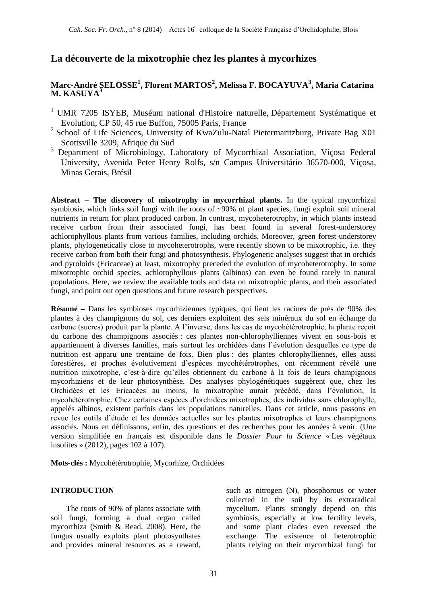# **La découverte de la mixotrophie chez les plantes à mycorhizes**

## **Marc-André SELOSSE<sup>1</sup> , Florent MARTOS<sup>2</sup> , Melissa F. BOCAYUVA<sup>3</sup> , Maria Catarina M. KASUYA<sup>3</sup>**

- <sup>1</sup> UMR 7205 ISYEB, Muséum national d'Histoire naturelle, Département Systématique et Evolution, CP 50, 45 rue Buffon, 75005 Paris, France
- $2$  School of Life Sciences, University of KwaZulu-Natal Pietermaritzburg, Private Bag X01 Scottsville 3209, Afrique du Sud
- <sup>3</sup> Department of Microbiology, Laboratory of Mycorrhizal Association, Viçosa Federal University, Avenida Peter Henry Rolfs, s/n Campus Universitário 36570-000, Viçosa, Minas Gerais, Brésil

**Abstract – The discovery of mixotrophy in mycorrhizal plants.** In the typical mycorrhizal symbiosis, which links soil fungi with the roots of ~90% of plant species, fungi exploit soil mineral nutrients in return for plant produced carbon. In contrast, mycoheterotrophy, in which plants instead receive carbon from their associated fungi, has been found in several forest-understorey achlorophyllous plants from various families, including orchids. Moreover, green forest-understorey plants, phylogenetically close to mycoheterotrophs, were recently shown to be mixotrophic, i.e. they receive carbon from both their fungi and photosynthesis. Phylogenetic analyses suggest that in orchids and pyroloids (Ericaceae) at least, mixotrophy preceded the evolution of mycoheterotrophy. In some mixotrophic orchid species, achlorophyllous plants (albinos) can even be found rarely in natural populations. Here, we review the available tools and data on mixotrophic plants, and their associated fungi, and point out open questions and future research perspectives.

**Résumé –** Dans les symbioses mycorhiziennes typiques, qui lient les racines de près de 90% des plantes à des champignons du sol, ces derniers exploitent des sels minéraux du sol en échange du carbone (sucres) produit par la plante. A l'inverse, dans les cas de mycohétérotrophie, la plante reçoit du carbone des champignons associés : ces plantes non-chlorophylliennes vivent en sous-bois et appartiennent à diverses familles, mais surtout les orchidées dans l'évolution desquelles ce type de nutrition est apparu une trentaine de fois. Bien plus : des plantes chlorophylliennes, elles aussi forestières, et proches évolutivement d'espèces mycohétérotrophes, ont récemment révélé une nutrition mixotrophe, c'est-à-dire qu'elles obtiennent du carbone à la fois de leurs champignons mycorhiziens et de leur photosynthèse. Des analyses phylogénétiques suggèrent que, chez les Orchidées et les Ericacées au moins, la mixotrophie aurait précédé, dans l'évolution, la mycohétérotrophie. Chez certaines espèces d'orchidées mixotrophes, des individus sans chlorophylle, appelés albinos, existent parfois dans les populations naturelles. Dans cet article, nous passons en revue les outils d'étude et les données actuelles sur les plantes mixotrophes et leurs champignons associés. Nous en définissons, enfin, des questions et des recherches pour les années à venir. (Une version simplifiée en français est disponible dans le *Dossier Pour la Science* « Les végétaux insolites » (2012), pages 102 à 107).

**Mots-clés :** Mycohétérotrophie, Mycorhize, Orchidées

#### **INTRODUCTION**

The roots of 90% of plants associate with soil fungi, forming a dual organ called mycorrhiza (Smith & Read, 2008). Here, the fungus usually exploits plant photosynthates and provides mineral resources as a reward, such as nitrogen (N), phosphorous or water collected in the soil by its extraradical mycelium. Plants strongly depend on this symbiosis, especially at low fertility levels, and some plant clades even reversed the exchange. The existence of heterotrophic plants relying on their mycorrhizal fungi for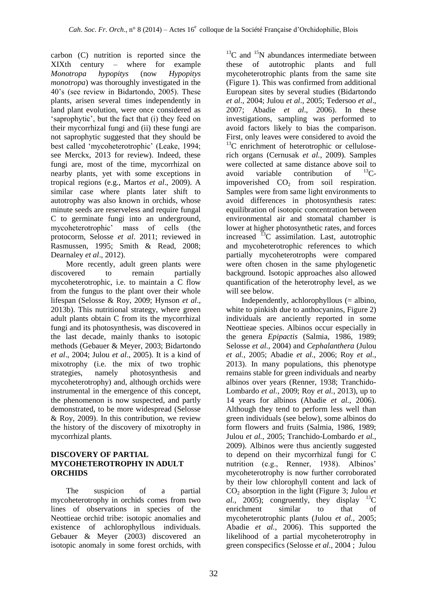carbon (C) nutrition is reported since the XIXth century – where for example *Monotropa hypopitys* (now *Hypopitys monotropa*) was thoroughly investigated in the 40's (see review in Bidartondo, 2005). These plants, arisen several times independently in land plant evolution, were once considered as 'saprophytic', but the fact that (i) they feed on their mycorrhizal fungi and (ii) these fungi are not saprophytic suggested that they should be best called 'mycoheterotrophic' (Leake, 1994; see Merckx, 2013 for review). Indeed, these fungi are, most of the time, mycorrhizal on nearby plants, yet with some exceptions in tropical regions (e.g., Martos *et al*., 2009). A similar case where plants later shift to autotrophy was also known in orchids, whose minute seeds are reserveless and require fungal C to germinate fungi into an underground,<br>mycoheterotrophic' mass of cells (the mycoheterotrophic' mass of cells (the protocorm, Selosse *et al*. 2011; reviewed in Rasmussen, 1995; Smith & Read, 2008; Dearnaley *et al*., 2012).

More recently, adult green plants were discovered to remain partially mycoheterotrophic, i.e. to maintain a C flow from the fungus to the plant over their whole lifespan (Selosse & Roy, 2009; Hynson *et al*., 2013b). This nutritional strategy, where green adult plants obtain C from its the mycorrhizal fungi and its photosynthesis, was discovered in the last decade, mainly thanks to isotopic methods (Gebauer & Meyer, 2003; Bidartondo *et al*., 2004; Julou *et al*., 2005). It is a kind of mixotrophy (i.e. the mix of two trophic strategies, namely photosynthesis and mycoheterotrophy) and, although orchids were instrumental in the emergence of this concept, the phenomenon is now suspected, and partly demonstrated, to be more widespread (Selosse & Roy, 2009). In this contribution, we review the history of the discovery of mixotrophy in mycorrhizal plants.

### **DISCOVERY OF PARTIAL MYCOHETEROTROPHY IN ADULT ORCHIDS**

The suspicion of a partial mycoheterotrophy in orchids comes from two lines of observations in species of the Neottieae orchid tribe: isotopic anomalies and existence of achlorophyllous individuals. Gebauer & Meyer (2003) discovered an isotopic anomaly in some forest orchids, with

 $13^{\circ}$ C and  $15^{\circ}$ N abundances intermediate between these of autotrophic plants and full mycoheterotrophic plants from the same site (Figure 1). This was confirmed from additional European sites by several studies (Bidartondo *et al*., 2004; Julou *et al*., 2005; Tedersoo *et al*., 2007; Abadie *et al*., 2006). In these investigations, sampling was performed to avoid factors likely to bias the comparison. First, only leaves were considered to avoid the  $13^{\circ}$ C enrichment of heterotrophic or celluloserich organs (Cernusak *et al.*, 2009). Samples were collected at same distance above soil to avoid variable contribution of  $^{13}C$ avoid variable contribution of impoverished  $CO<sub>2</sub>$  from soil respiration. Samples were from same light environments to avoid differences in photosynthesis rates: equilibration of isotopic concentration between environmental air and stomatal chamber is lower at higher photosynthetic rates, and forces increased  $^{13}$ C assimilation. Last, autotrophic and mycoheterotrophic references to which partially mycoheterotrophs were compared were often chosen in the same phylogenetic background. Isotopic approaches also allowed quantification of the heterotrophy level, as we will see below.

Independently, achlorophyllous (= albino, white to pinkish due to anthocyanins, Figure 2) individuals are anciently reported in some Neottieae species. Albinos occur especially in the genera *Epipactis* (Salmia, 1986, 1989; Selosse *et al.*, 2004) and *Cephalanthera* (Julou *et al.*, 2005; Abadie *et al.*, 2006; Roy *et al.*, 2013). In many populations, this phenotype remains stable for green individuals and nearby albinos over years (Renner, 1938; Tranchido-Lombardo *et al.*, 2009; Roy *et al.*, 2013), up to 14 years for albinos (Abadie *et al.*, 2006). Although they tend to perform less well than green individuals (see below), some albinos do form flowers and fruits (Salmia, 1986, 1989; Julou *et al.*, 2005; Tranchido-Lombardo *et al.*, 2009). Albinos were thus anciently suggested to depend on their mycorrhizal fungi for C nutrition (e.g., Renner, 1938). Albinos' mycoheterotrophy is now further corroborated by their low chlorophyll content and lack of CO<sub>2</sub> absorption in the light (Figure 3; Julou *et al.*, 2005); congruently, they display  $^{13}C$ enrichment similar to that of mycoheterotrophic plants (Julou *et al.*, 2005; Abadie *et al.*, 2006). This supported the likelihood of a partial mycoheterotrophy in green conspecifics (Selosse *et al.*, 2004 ; Julou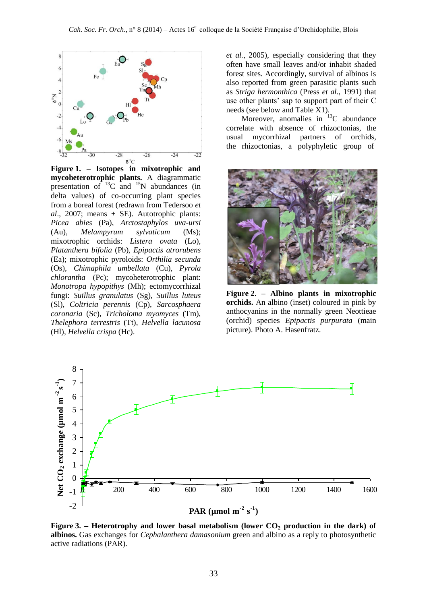

**Figure 1. – Isotopes in mixotrophic and mycoheterotrophic plants.** A diagrammatic presentation of  $^{13}$ C and  $^{15}$ N abundances (in delta values) of co-occurring plant species from a boreal forest (redrawn from Tedersoo *et al*., 2007; means ± SE). Autotrophic plants: *Picea abies* (Pa), *Arctostaphylos uva-ursi* (Au), *Melampyrum sylvaticum* (Ms); mixotrophic orchids: *Listera ovata* (Lo), *Platanthera bifolia* (Pb), *Epipactis atrorubens* (Ea); mixotrophic pyroloids: *Orthilia secunda* (Os), *Chimaphila umbellata* (Cu), *Pyrola chlorantha* (Pc); mycoheterotrophic plant: *Monotropa hypopithys* (Mh); ectomycorrhizal fungi: *Suillus granulatus* (Sg), *Suillus luteus* (Sl), *Coltricia perennis* (Cp), *Sarcosphaera coronaria* (Sc), *Tricholoma myomyces* (Tm), *Thelephora terrestris* (Tt), *Helvella lacunosa* (Hl), *Helvella crispa* (Hc).

*et al.*, 2005), especially considering that they often have small leaves and/or inhabit shaded forest sites. Accordingly, survival of albinos is also reported from green parasitic plants such as *Striga hermonthica* (Press *et al.*, 1991) that use other plants' sap to support part of their C needs (see below and Table X1).

Moreover, anomalies in  $13<sup>C</sup>$  abundance correlate with absence of rhizoctonias, the usual mycorrhizal partners of orchids, the rhizoctonias, a polyphyletic group of



**Figure 2. – Albino plants in mixotrophic orchids.** An albino (inset) coloured in pink by anthocyanins in the normally green Neottieae (orchid) species *Epipactis purpurata* (main picture). Photo A. Hasenfratz.



**Figure 3. – Heterotrophy and lower basal metabolism (lower CO<sup>2</sup> production in the dark) of albinos.** Gas exchanges for *Cephalanthera damasonium* green and albino as a reply to photosynthetic active radiations (PAR).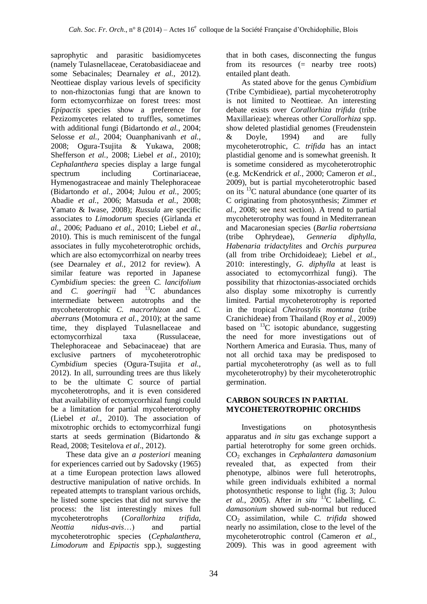saprophytic and parasitic basidiomycetes (namely Tulasnellaceae, Ceratobasidiaceae and some Sebacinales; Dearnaley *et al.*, 2012). Neottieae display various levels of specificity to non-rhizoctonias fungi that are known to form ectomycorrhizae on forest trees: most *Epipactis* species show a preference for Pezizomycetes related to truffles, sometimes with additional fungi (Bidartondo *et al.*, 2004; Selosse *et al.*, 2004; Ouanphanivanh *et al.*, 2008; Ogura-Tsujita & Yukawa, 2008; Shefferson *et al.*, 2008; Liebel *et al.*, 2010); *Cephalanthera* species display a large fungal spectrum including Cortinariaceae, Hymenogastraceae and mainly Thelephoraceae (Bidartondo *et al.*, 2004; Julou *et al.*, 2005; Abadie *et al.*, 2006; Matsuda *et al.*, 2008; Yamato & Iwase, 2008); *Russula* are specific associates to *Limodorum* species (Girlanda *et al.*, 2006; Paduano *et al.*, 2010; Liebel *et al.*, 2010). This is much reminiscent of the fungal associates in fully mycoheterotrophic orchids, which are also ectomycorrhizal on nearby trees (see Dearnaley *et al.*, 2012 for review). A similar feature was reported in Japanese *Cymbidium* species: the green *C. lancifolium* and *C. goeringii* had <sup>13</sup>C abundances intermediate between autotrophs and the mycoheterotrophic *C. macrorhizon* and *C. aberrans* (Motomura *et al.*, 2010); at the same time, they displayed Tulasnellaceae and ectomycorrhizal taxa (Russulaceae, Thelephoraceae and Sebacinaceae) that are exclusive partners of mycoheterotrophic *Cymbidium* species (Ogura-Tsujita *et al.*, 2012). In all, surrounding trees are thus likely to be the ultimate C source of partial mycoheterotrophs, and it is even considered that availability of ectomycorrhizal fungi could be a limitation for partial mycoheterotrophy (Liebel *et al.*, 2010). The association of mixotrophic orchids to ectomycorrhizal fungi starts at seeds germination (Bidartondo & Read, 2008; Tesitelova *et al*., 2012).

These data give an *a posteriori* meaning for experiences carried out by Sadovsky (1965) at a time European protection laws allowed destructive manipulation of native orchids. In repeated attempts to transplant various orchids, he listed some species that did not survive the process: the list interestingly mixes full mycoheterotrophs (*Corallorhiza trifida*, *Neottia nidus-avis*…) and partial mycoheterotrophic species (*Cephalanthera*, *Limodorum* and *Epipactis* spp.), suggesting that in both cases, disconnecting the fungus from its resources (= nearby tree roots) entailed plant death.

As stated above for the genus *Cymbidium*  (Tribe Cymbidieae), partial mycoheterotrophy is not limited to Neottieae. An interesting debate exists over *Corallorhiza trifida* (tribe Maxillarieae): whereas other *Corallorhiza* spp. show deleted plastidial genomes (Freudenstein & Doyle, 1994) and are fully mycoheterotrophic, *C. trifida* has an intact plastidial genome and is somewhat greenish. It is sometime considered as mycoheterotrophic (e.g. McKendrick *et al.*, 2000; Cameron *et al.*, 2009), but is partial mycoheterotrophic based on its  $^{13}$ C natural abundance (one quarter of its C originating from photosynthesis; Zimmer *et al.*, 2008; see next section). A trend to partial mycoheterotrophy was found in Mediterranean and Macaronesian species (*Barlia robertsiana*  (tribe Ophrydeae), *Genneria diphylla*, *Habenaria tridactylites* and *Orchis purpurea* (all from tribe Orchidoideae); Liebel *et al.*, 2010: interestingly, *G. diphylla* at least is associated to ectomycorrhizal fungi). The possibility that rhizoctonias-associated orchids also display some mixotrophy is currently limited. Partial mycoheterotrophy is reported in the tropical *Cheirostylis montana* (tribe Cranichideae) from Thailand (Roy *et al.*, 2009) based on  $^{13}$ C isotopic abundance, suggesting the need for more investigations out of Northern America and Eurasia. Thus, many of not all orchid taxa may be predisposed to partial mycoheterotrophy (as well as to full mycoheterotrophy) by their mycoheterotrophic germination.

### **CARBON SOURCES IN PARTIAL MYCOHETEROTROPHIC ORCHIDS**

Investigations on photosynthesis apparatus and *in situ* gas exchange support a partial heterotrophy for some green orchids. CO<sup>2</sup> exchanges in *Cephalantera damasonium* revealed that, as expected from their phenotype, albinos were full heterotrophs, while green individuals exhibited a normal photosynthetic response to light (fig. 3; Julou *et al.*, 2005). After *in situ* <sup>13</sup>C labelling, *C. damasonium* showed sub-normal but reduced CO<sup>2</sup> assimilation, while *C. trifida* showed nearly no assimilation, close to the level of the mycoheterotrophic control (Cameron *et al.*, 2009). This was in good agreement with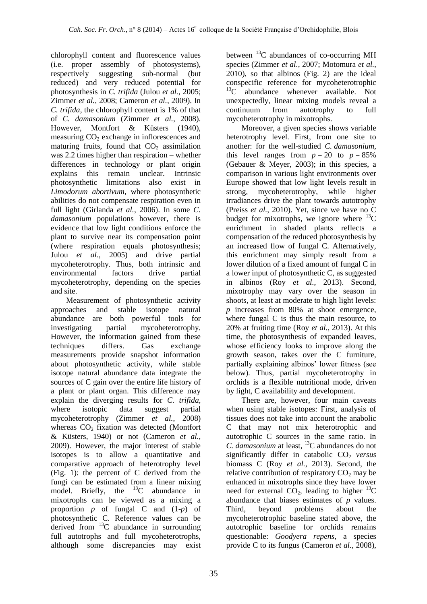chlorophyll content and fluorescence values (i.e. proper assembly of photosystems), respectively suggesting sub-normal (but reduced) and very reduced potential for photosynthesis in *C. trifida* (Julou *et al.*, 2005; Zimmer *et al.*, 2008; Cameron *et al.*, 2009). In *C. trifida*, the chlorophyll content is 1% of that of *C. damasonium* (Zimmer *et al.*, 2008). However, Montfort & Küsters (1940), measuring  $CO<sub>2</sub>$  exchange in inflorescences and maturing fruits, found that  $CO<sub>2</sub>$  assimilation was 2.2 times higher than respiration – whether differences in technology or plant origin explains this remain unclear. Intrinsic photosynthetic limitations also exist in *Limodorum abortivum*, where photosynthetic abilities do not compensate respiration even in full light (Girlanda *et al.*, 2006). In some *C. damasonium* populations however, there is evidence that low light conditions enforce the plant to survive near its compensation point (where respiration equals photosynthesis; Julou *et al.*, 2005) and drive partial mycoheterotrophy. Thus, both intrinsic and environmental factors drive partial mycoheterotrophy, depending on the species and site.

Measurement of photosynthetic activity approaches and stable isotope natural abundance are both powerful tools for investigating partial mycoheterotrophy. However, the information gained from these techniques differs. Gas exchange measurements provide snapshot information about photosynthetic activity, while stable isotope natural abundance data integrate the sources of C gain over the entire life history of a plant or plant organ. This difference may explain the diverging results for *C. trifida*, where isotopic data suggest partial mycoheterotrophy (Zimmer *et al.*, 2008) whereas  $CO<sub>2</sub>$  fixation was detected (Montfort & Küsters, 1940) or not (Cameron *et al.*, 2009). However, the major interest of stable isotopes is to allow a quantitative and comparative approach of heterotrophy level (Fig. 1): the percent of C derived from the fungi can be estimated from a linear mixing model. Briefly, the  $^{13}$ C abundance in mixotrophs can be viewed as a mixing a proportion *p* of fungal C and (1-*p*) of photosynthetic C. Reference values can be derived from  $^{13}$ C abundance in surrounding full autotrophs and full mycoheterotrophs, although some discrepancies may exist

between  $^{13}$ C abundances of co-occurring MH species (Zimmer *et al.*, 2007; Motomura *et al.*, 2010), so that albinos (Fig. 2) are the ideal conspecific reference for mycoheterotrophic  $^{13}$ C abundance whenever available. Not unexpectedly, linear mixing models reveal a continuum from autotrophy to full mycoheterotrophy in mixotrophs.

Moreover, a given species shows variable heterotrophy level. First, from one site to another: for the well-studied *C. damasonium*, this level ranges from  $p = 20$  to  $p = 85\%$ (Gebauer & Meyer, 2003); in this species, a comparison in various light environments over Europe showed that low light levels result in strong, mycoheterotrophy, while higher irradiances drive the plant towards autotrophy (Preiss *et al.*, 2010). Yet, since we have no C budget for mixotrophs, we ignore where  $^{13}$ C enrichment in shaded plants reflects a compensation of the reduced photosynthesis by an increased flow of fungal C. Alternatively, this enrichment may simply result from a lower dilution of a fixed amount of fungal C in a lower input of photosynthetic C, as suggested in albinos (Roy *et al.*, 2013). Second, mixotrophy may vary over the season in shoots, at least at moderate to high light levels: *p* increases from 80% at shoot emergence, where fungal C is thus the main resource, to 20% at fruiting time (Roy *et al.*, 2013). At this time, the photosynthesis of expanded leaves, whose efficiency looks to improve along the growth season, takes over the C furniture, partially explaining albinos' lower fitness (see below). Thus, partial mycoheterotrophy in orchids is a flexible nutritional mode, driven by light, C availability and development.

There are, however, four main caveats when using stable isotopes: First, analysis of tissues does not take into account the anabolic C that may not mix heterotrophic and autotrophic C sources in the same ratio. In *C. damasonium* at least, <sup>13</sup>C abundances do not significantly differ in catabolic CO<sub>2</sub> *versus* biomass C (Roy *et al.*, 2013). Second, the relative contribution of respiratory  $CO<sub>2</sub>$  may be enhanced in mixotrophs since they have lower need for external  $CO<sub>2</sub>$ , leading to higher <sup>13</sup>C abundance that biases estimates of *p* values. Third, beyond problems about the mycoheterotrophic baseline stated above, the autotrophic baseline for orchids remains questionable: *Goodyera repens*, a species provide C to its fungus (Cameron *et al.*, 2008),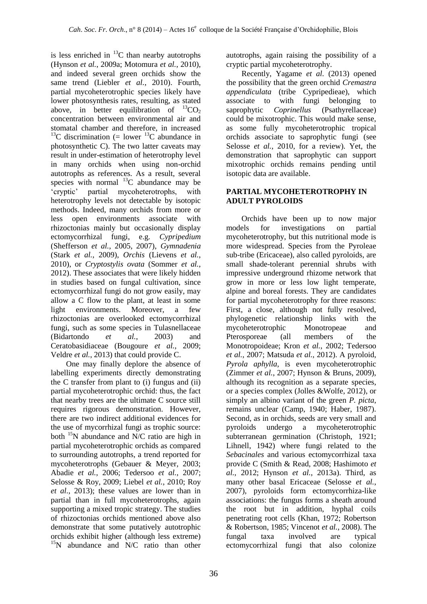is less enriched in  ${}^{13}C$  than nearby autotrophs (Hynson *et al.*, 2009a; Motomura *et al.*, 2010), and indeed several green orchids show the same trend (Liebler *et al.*, 2010). Fourth, partial mycoheterotrophic species likely have lower photosynthesis rates, resulting, as stated above, in better equilibration of  ${}^{13}CO_2$ concentration between environmental air and stomatal chamber and therefore, in increased <sup>13</sup>C discrimination (= lower <sup>13</sup>C abundance in photosynthetic C). The two latter caveats may result in under-estimation of heterotrophy level in many orchids when using non-orchid autotrophs as references. As a result, several species with normal  $^{13}$ C abundance may be 'cryptic' partial mycoheterotrophs, with heterotrophy levels not detectable by isotopic methods. Indeed, many orchids from more or less open environments associate with rhizoctonias mainly but occasionally display ectomycorrhizal fungi, e.g. *Cypripedium* (Shefferson *et al.*, 2005, 2007), *Gymnadenia* (Stark *et al.*, 2009), *Orchis* (Lievens *et al.*, 2010), or *Cryptostylis ovata* (Sommer *et al.*, 2012). These associates that were likely hidden in studies based on fungal cultivation, since ectomycorrhizal fungi do not grow easily, may allow a C flow to the plant, at least in some light environments. Moreover, a few rhizoctonias are overlooked ectomycorrhizal fungi, such as some species in Tulasnellaceae (Bidartondo *et al.*, 2003) and Ceratobasidiaceae (Bougoure *et al.*, 2009; Veldre *et al.*, 2013) that could provide C.

One may finally deplore the absence of labelling experiments directly demonstrating the C transfer from plant to (i) fungus and (ii) partial mycoheterotrophic orchid: thus, the fact that nearby trees are the ultimate C source still requires rigorous demonstration. However, there are two indirect additional evidences for the use of mycorrhizal fungi as trophic source: both <sup>15</sup>N abundance and N/C ratio are high in partial mycoheterotrophic orchids as compared to surrounding autotrophs, a trend reported for mycoheterotrophs (Gebauer & Meyer, 2003; Abadie *et al.*, 2006; Tedersoo *et al.*, 2007; Selosse & Roy, 2009; Liebel *et al.*, 2010; Roy *et al.*, 2013); these values are lower than in partial than in full mycoheterotrophs, again supporting a mixed tropic strategy. The studies of rhizoctonias orchids mentioned above also demonstrate that some putatively autotrophic orchids exhibit higher (although less extreme) <sup>15</sup>N abundance and N/C ratio than other autotrophs, again raising the possibility of a cryptic partial mycoheterotrophy.

Recently, Yagame *et al.* (2013) opened the possibility that the green orchid *Cremastra appendiculata* (tribe Cypripedieae), which associate to with fungi belonging to saprophytic *Coprinellus* (Psathyrellaceae) could be mixotrophic. This would make sense, as some fully mycoheterotrophic tropical orchids associate to saprophytic fungi (see Selosse *et al.*, 2010, for a review). Yet, the demonstration that saprophytic can support mixotrophic orchids remains pending until isotopic data are available.

### **PARTIAL MYCOHETEROTROPHY IN ADULT PYROLOIDS**

Orchids have been up to now major models for investigations on partial mycoheterotrophy, but this nutritional mode is more widespread. Species from the Pyroleae sub-tribe (Ericaceae), also called pyroloids, are small shade-tolerant perennial shrubs with impressive underground rhizome network that grow in more or less low light temperate, alpine and boreal forests. They are candidates for partial mycoheterotrophy for three reasons: First, a close, although not fully resolved, phylogenetic relationship links with the mycoheterotrophic Monotropeae and Pterosporeae (all members of the Monotropoideae; Kron *et al.*, 2002; Tedersoo *et al.*, 2007; Matsuda *et al.*, 2012). A pyroloid, *Pyrola aphylla*, is even mycoheterotrophic (Zimmer *et al.*, 2007; Hynson & Bruns, 2009), although its recognition as a separate species, or a species complex (Jolles &Wolfe, 2012), or simply an albino variant of the green *P. picta*, remains unclear (Camp, 1940; Haber, 1987). Second, as in orchids, seeds are very small and pyroloids undergo a mycoheterotrophic subterranean germination (Christoph, 1921; Lihnell, 1942) where fungi related to the *Sebacinales* and various ectomycorrhizal taxa provide C (Smith & Read, 2008; Hashimoto *et al.*, 2012; Hynson *et al.*, 2013a). Third, as many other basal Ericaceae (Selosse *et al.*, 2007), pyroloids form ectomycorrhiza-like associations: the fungus forms a sheath around the root but in addition, hyphal coils penetrating root cells (Khan, 1972; Robertson & Robertson, 1985; Vincenot *et al.*, 2008). The fungal taxa involved are typical ectomycorrhizal fungi that also colonize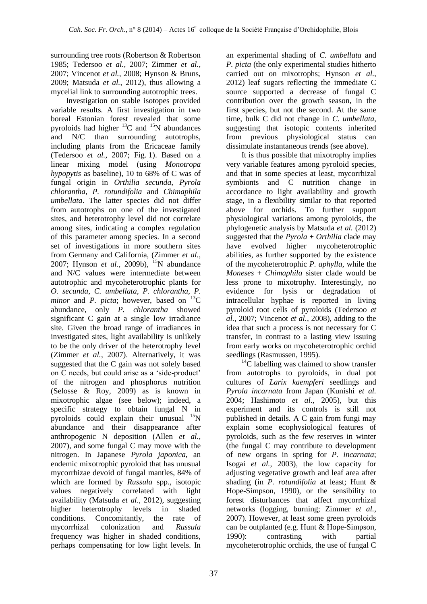surrounding tree roots (Robertson & Robertson 1985; Tedersoo *et al.*, 2007; Zimmer *et al.*, 2007; Vincenot *et al.*, 2008; Hynson & Bruns, 2009; Matsuda *et al.*, 2012), thus allowing a mycelial link to surrounding autotrophic trees.

Investigation on stable isotopes provided variable results. A first investigation in two boreal Estonian forest revealed that some pyroloids had higher  ${}^{13}$ C and  ${}^{15}$ N abundances and N/C than surrounding autotrophs, including plants from the Ericaceae family (Tedersoo *et al.*, 2007; Fig. 1). Based on a linear mixing model (using *Monotropa hypopytis* as baseline), 10 to 68% of C was of fungal origin in *Orthilia secunda*, *Pyrola chlorantha, P. rotundifolia* and *Chimaphila umbellata*. The latter species did not differ from autotrophs on one of the investigated sites, and heterotrophy level did not correlate among sites, indicating a complex regulation of this parameter among species. In a second set of investigations in more southern sites from Germany and California, (Zimmer *et al.*, 2007; Hynson *et al.*, 2009b), <sup>15</sup>N abundance and N/C values were intermediate between autotrophic and mycoheterotrophic plants for *O. secunda*, *C. umbellata*, *P. chlorantha*, *P. minor* and *P. picta*; however, based on  $^{13}C$ abundance, only *P. chlorantha* showed significant C gain at a single low irradiance site. Given the broad range of irradiances in investigated sites, light availability is unlikely to be the only driver of the heterotrophy level (Zimmer *et al.*, 2007). Alternatively, it was suggested that the C gain was not solely based on C needs, but could arise as a 'side-product' of the nitrogen and phosphorus nutrition (Selosse & Roy, 2009) as is known in mixotrophic algae (see below); indeed, a specific strategy to obtain fungal N in pyroloids could explain their unusual  $15N$ abundance and their disappearance after anthropogenic N deposition (Allen *et al.*, 2007), and some fungal C may move with the nitrogen. In Japanese *Pyrola japonica*, an endemic mixotrophic pyroloid that has unusual mycorrhizae devoid of fungal mantles, 84% of which are formed by *Russula* spp., isotopic values negatively correlated with light availability (Matsuda *et al.*, 2012), suggesting higher heterotrophy levels in shaded conditions. Concomitantly, the rate of mycorrhizal colonization and *Russula*  frequency was higher in shaded conditions, perhaps compensating for low light levels. In

an experimental shading of *C. umbellata* and *P. picta* (the only experimental studies hitherto carried out on mixotrophs; Hynson *et al.*, 2012) leaf sugars reflecting the immediate C source supported a decrease of fungal C contribution over the growth season, in the first species, but not the second. At the same time, bulk C did not change in *C. umbellata*, suggesting that isotopic contents inherited from previous physiological status can dissimulate instantaneous trends (see above).

It is thus possible that mixotrophy implies very variable features among pyroloid species, and that in some species at least, mycorrhizal symbionts and C nutrition change in accordance to light availability and growth stage, in a flexibility similar to that reported above for orchids. To further support physiological variations among pyroloids, the phylogenetic analysis by Matsuda *et al.* (2012) suggested that the *Pyrola* + *Orthilia* clade may have evolved higher mycoheterotrophic abilities, as further supported by the existence of the mycoheterotrophic *P. aphylla*, while the *Moneses* + *Chimaphila* sister clade would be less prone to mixotrophy. Interestingly, no evidence for lysis or degradation of intracellular hyphae is reported in living pyroloid root cells of pyroloids (Tedersoo *et al.*, 2007; Vincenot *et al.*, 2008), adding to the idea that such a process is not necessary for C transfer, in contrast to a lasting view issuing from early works on mycoheterotrophic orchid seedlings (Rasmussen, 1995).

 $^{14}$ C labelling was claimed to show transfer from autotrophs to pyroloids, in dual pot cultures of *Larix kaempferi* seedlings and *Pyrola incarnata* from Japan (Kunishi *et al.* 2004; Hashimoto *et al.*, 2005), but this experiment and its controls is still not published in details. A C gain from fungi may explain some ecophysiological features of pyroloids, such as the few reserves in winter (the fungal C may contribute to development of new organs in spring for *P. incarnata*; Isogai *et al.*, 2003), the low capacity for adjusting vegetative growth and leaf area after shading (in *P. rotundifolia* at least; Hunt & Hope-Simpson, 1990), or the sensibility to forest disturbances that affect mycorrhizal networks (logging, burning; Zimmer *et al.*, 2007). However, at least some green pyroloids can be outplanted (e.g. Hunt & Hope-Simpson, 1990): contrasting with partial mycoheterotrophic orchids, the use of fungal C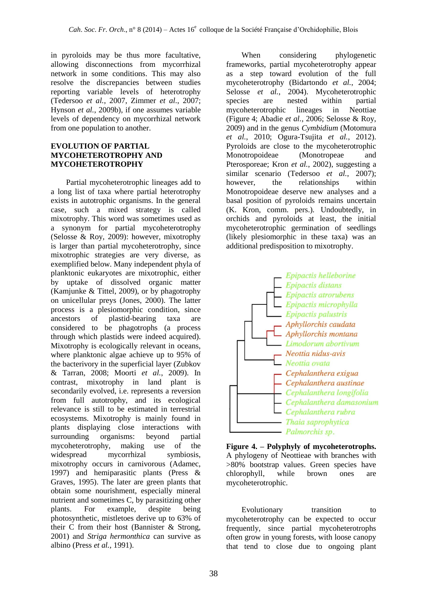in pyroloids may be thus more facultative, allowing disconnections from mycorrhizal network in some conditions. This may also resolve the discrepancies between studies reporting variable levels of heterotrophy (Tedersoo *et al.*, 2007, Zimmer *et al.*, 2007; Hynson *et al.*, 2009b), if one assumes variable levels of dependency on mycorrhizal network from one population to another.

### **EVOLUTION OF PARTIAL MYCOHETEROTROPHY AND MYCOHETEROTROPHY**

Partial mycoheterotrophic lineages add to a long list of taxa where partial heterotrophy exists in autotrophic organisms. In the general case, such a mixed strategy is called mixotrophy. This word was sometimes used as a synonym for partial mycoheterotrophy (Selosse & Roy, 2009): however, mixotrophy is larger than partial mycoheterotrophy, since mixotrophic strategies are very diverse, as exemplified below. Many independent phyla of planktonic eukaryotes are mixotrophic, either by uptake of dissolved organic matter (Kamjunke & Tittel, 2009), or by phagotrophy on unicellular preys (Jones, 2000). The latter process is a plesiomorphic condition, since ancestors of plastid-bearing taxa are considered to be phagotrophs (a process through which plastids were indeed acquired). Mixotrophy is ecologically relevant in oceans, where planktonic algae achieve up to 95% of the bacterivory in the superficial layer (Zubkov & Tarran, 2008; Moorti *et al.*, 2009). In contrast, mixotrophy in land plant is secondarily evolved, i.e. represents a reversion from full autotrophy, and its ecological relevance is still to be estimated in terrestrial ecosystems. Mixotrophy is mainly found in plants displaying close interactions with surrounding organisms: beyond partial mycoheterotrophy, making use of the widespread mycorrhizal symbiosis, mixotrophy occurs in carnivorous (Adamec, 1997) and hemiparasitic plants (Press & Graves, 1995). The later are green plants that obtain some nourishment, especially mineral nutrient and sometimes C, by parasitizing other plants. For example, despite being photosynthetic, mistletoes derive up to 63% of their C from their host (Bannister & Strong, 2001) and *Striga hermonthica* can survive as albino (Press *et al.*, 1991).

When considering phylogenetic frameworks, partial mycoheterotrophy appear as a step toward evolution of the full mycoheterotrophy (Bidartondo *et al.*, 2004; Selosse *et al.*, 2004). Mycoheterotrophic species are nested within partial mycoheterotrophic lineages in Neottiae (Figure 4; Abadie *et al.*, 2006; Selosse & Roy, 2009) and in the genus *Cymbidium* (Motomura *et al.*, 2010; Ogura-Tsujita *et al.*, 2012). Pyroloids are close to the mycoheterotrophic Monotropoideae (Monotropeae and Pterosporeae; Kron *et al.*, 2002), suggesting a similar scenario (Tedersoo *et al.*, 2007); however, the relationships within Monotropoideae deserve new analyses and a basal position of pyroloids remains uncertain (K. Kron, comm. pers.). Undoubtedly, in orchids and pyroloids at least, the initial mycoheterotrophic germination of seedlings (likely plesiomorphic in these taxa) was an additional predisposition to mixotrophy.



**Figure 4. – Polyphyly of mycoheterotrophs.** A phylogeny of Neottieae with branches with >80% bootstrap values. Green species have chlorophyll, while brown ones are mycoheterotrophic.

Evolutionary transition to mycoheterotrophy can be expected to occur frequently, since partial mycoheterotrophs often grow in young forests, with loose canopy that tend to close due to ongoing plant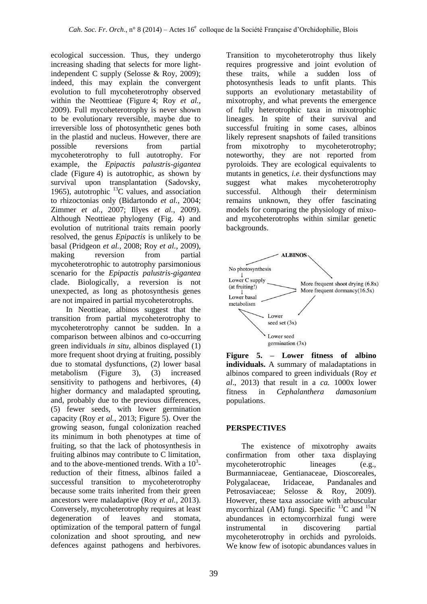ecological succession. Thus, they undergo increasing shading that selects for more lightindependent C supply (Selosse & Roy, 2009); indeed, this may explain the convergent evolution to full mycoheterotrophy observed within the Neotttieae (Figure 4; Roy *et al.*, 2009). Full mycoheterotrophy is never shown to be evolutionary reversible, maybe due to irreversible loss of photosynthetic genes both in the plastid and nucleus. However, there are<br>possible reversions from partial possible reversions from partial mycoheterotrophy to full autotrophy. For example, the *Epipactis palustris-gigantea* clade (Figure 4) is autotrophic, as shown by survival upon transplantation (Sadovsky, 1965), autotrophic  $^{13}$ C values, and association to rhizoctonias only (Bidartondo *et al.*, 2004; Zimmer *et al.*, 2007; Illyes *et al.*, 2009). Although Neottieae phylogeny (Fig. 4) and evolution of nutritional traits remain poorly resolved, the genus *Epipactis* is unlikely to be basal (Pridgeon *et al.*, 2008; Roy *et al.*, 2009), making reversion from partial mycoheterotrophic to autotrophy parsimonious scenario for the *Epipactis palustris-gigantea* clade. Biologically, a reversion is not unexpected, as long as photosynthesis genes are not impaired in partial mycoheterotrophs.

In Neottieae, albinos suggest that the transition from partial mycoheterotrophy to mycoheterotrophy cannot be sudden. In a comparison between albinos and co-occurring green individuals *in situ*, albinos displayed (1) more frequent shoot drying at fruiting, possibly due to stomatal dysfunctions, (2) lower basal metabolism (Figure 3), (3) increased sensitivity to pathogens and herbivores, (4) higher dormancy and maladapted sprouting, and, probably due to the previous differences, (5) fewer seeds, with lower germination capacity (Roy *et al.*, 2013; Figure 5). Over the growing season, fungal colonization reached its minimum in both phenotypes at time of fruiting, so that the lack of photosynthesis in fruiting albinos may contribute to C limitation, and to the above-mentioned trends. With a  $10<sup>3</sup>$ reduction of their fitness, albinos failed a successful transition to mycoheterotrophy because some traits inherited from their green ancestors were maladaptive (Roy *et al.*, 2013). Conversely, mycoheterotrophy requires at least degeneration of leaves and stomata, optimization of the temporal pattern of fungal colonization and shoot sprouting, and new defences against pathogens and herbivores.

Transition to mycoheterotrophy thus likely requires progressive and joint evolution of these traits, while a sudden loss of photosynthesis leads to unfit plants. This supports an evolutionary metastability of mixotrophy, and what prevents the emergence of fully heterotrophic taxa in mixotrophic lineages. In spite of their survival and successful fruiting in some cases, albinos likely represent snapshots of failed transitions<br>from mixotrophy to mycoheterotrophy; from mixotrophy to noteworthy, they are not reported from pyroloids. They are ecological equivalents to mutants in genetics, *i.e.* their dysfunctions may suggest what makes mycoheterotrophy successful. Although their determinism remains unknown, they offer fascinating models for comparing the physiology of mixoand mycoheterotrophs within similar genetic backgrounds.





### **PERSPECTIVES**

The existence of mixotrophy awaits confirmation from other taxa displaying mycoheterotrophic lineages (e.g., Burmanniaceae, Gentianaceae, Dioscoreales, Polygalaceae, Iridaceae, Pandanales and Petrosaviaceae; Selosse & Roy, 2009). However, these taxa associate with arbuscular mycorrhizal (AM) fungi. Specific  $^{13}$ C and  $^{15}$ N abundances in ectomycorrhizal fungi were instrumental in discovering partial mycoheterotrophy in orchids and pyroloids. We know few of isotopic abundances values in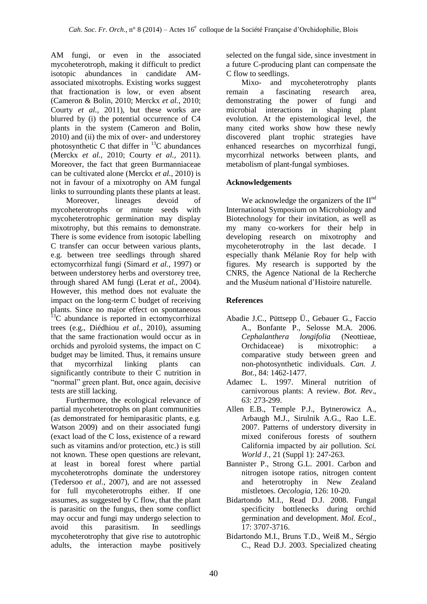AM fungi, or even in the associated mycoheterotroph, making it difficult to predict isotopic abundances in candidate AMassociated mixotrophs. Existing works suggest that fractionation is low, or even absent (Cameron & Bolin, 2010; Merckx *et al.*, 2010; Courty *et al.*, 2011), but these works are blurred by (i) the potential occurrence of C4 plants in the system (Cameron and Bolin, 2010) and (ii) the mix of over- and understorey photosynthetic C that differ in  $^{13}$ C abundances (Merckx *et al.*, 2010; Courty *et al.*, 2011). Moreover, the fact that green Burmanniaceae can be cultivated alone (Merckx *et al.*, 2010) is not in favour of a mixotrophy on AM fungal links to surrounding plants these plants at least.

Moreover, lineages devoid of mycoheterotrophs or minute seeds with mycoheterotrophic germination may display mixotrophy, but this remains to demonstrate. There is some evidence from isotopic labelling C transfer can occur between various plants, e.g. between tree seedlings through shared ectomycorrhizal fungi (Simard *et al.*, 1997) or between understorey herbs and overstorey tree, through shared AM fungi (Lerat *et al.*, 2004). However, this method does not evaluate the impact on the long-term C budget of receiving plants. Since no major effect on spontaneous  $13C$  abundance is reported in ectomycorrhizal trees (e.g., Diédhiou *et al.*, 2010), assuming that the same fractionation would occur as in orchids and pyroloid systems, the impact on C budget may be limited. Thus, it remains unsure that mycorrhizal linking plants can significantly contribute to their C nutrition in "normal" green plant. But, once again, decisive tests are still lacking.

Furthermore*,* the ecological relevance of partial mycoheterotrophs on plant communities (as demonstrated for hemiparasitic plants, e.g. Watson 2009) and on their associated fungi (exact load of the C loss, existence of a reward such as vitamins and/or protection, etc.) is still not known. These open questions are relevant, at least in boreal forest where partial mycoheterotrophs dominate the understorey (Tedersoo *et al.*, 2007), and are not assessed for full mycoheterotrophs either. If one assumes, as suggested by C flow, that the plant is parasitic on the fungus, then some conflict may occur and fungi may undergo selection to avoid this parasitism. In seedlings mycoheterotrophy that give rise to autotrophic adults, the interaction maybe positively selected on the fungal side, since investment in a future C-producing plant can compensate the

C flow to seedlings.<br>Mixo- and Mixo- and mycoheterotrophy plants<br>remain a fascinating research area. a fascinating demonstrating the power of fungi and microbial interactions in shaping plant evolution. At the epistemological level, the many cited works show how these newly discovered plant trophic strategies have enhanced researches on mycorrhizal fungi, mycorrhizal networks between plants, and metabolism of plant-fungal symbioses.

### **Acknowledgements**

We acknowledge the organizers of the  $II<sup>nd</sup>$ International Symposium on Microbiology and Biotechnology for their invitation, as well as my many co-workers for their help in developing research on mixotrophy and mycoheterotrophy in the last decade. I especially thank Mélanie Roy for help with figures. My research is supported by the CNRS, the Agence National de la Recherche and the Muséum national d'Histoire naturelle.

## **References**

- Abadie J.C., Püttsepp Ü., Gebauer G., Faccio A., Bonfante P., Selosse M.A. 2006. *Cephalanthera longifolia* (Neottieae, Orchidaceae) is mixotrophic: a comparative study between green and non-photosynthetic individuals. *Can. J. Bot.*, 84: 1462-1477.
- Adamec L. 1997. Mineral nutrition of carnivorous plants: A review. *Bot. Rev*., 63: 273-299.
- Allen E.B., Temple P.J., Bytnerowicz A., Arbaugh M.J., Sirulnik A.G., Rao L.E. 2007. Patterns of understory diversity in mixed coniferous forests of southern California impacted by air pollution. *Sci. World J.*, 21 (Suppl 1): 247-263.
- Bannister P., Strong G.L. 2001. Carbon and nitrogen isotope ratios, nitrogen content and heterotrophy in New Zealand mistletoes. *Oecologia*, 126: 10-20.
- Bidartondo M.I., Read D.J. 2008. Fungal specificity bottlenecks during orchid germination and development. *Mol. Ecol*., 17: 3707-3716.
- Bidartondo M.I., Bruns T.D., Weiß M., Sérgio C., Read D.J. 2003. Specialized cheating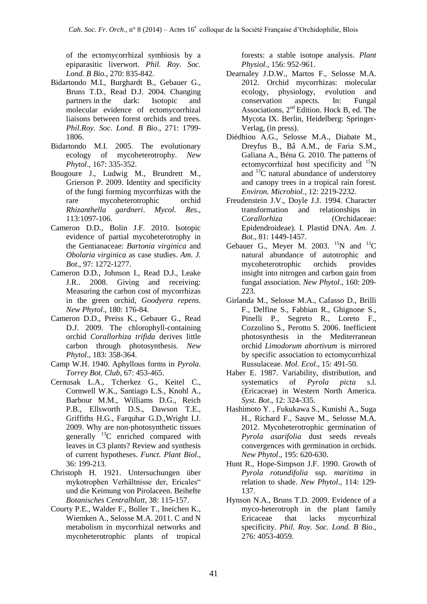of the ectomycorrhizal symbiosis by a epiparasitic liverwort. *Phil. Roy. Soc. Lond. B Bio*., 270: 835-842.

- Bidartondo M.I., Burghardt B., Gebauer G., Bruns T.D., Read D.J. 2004. Changing partners in the dark: Isotopic and molecular evidence of ectomycorrhizal liaisons between forest orchids and trees. *Phil.Roy. Soc. Lond. B Bio*., 271: 1799- 1806.
- Bidartondo M.I. 2005. The evolutionary ecology of mycoheterotrophy. *New Phytol*., 167: 335-352.
- Bougoure J., Ludwig M., Brundrett M., Grierson P. 2009. Identity and specificity of the fungi forming mycorrhizas with the rare mycoheterotrophic orchid *Rhizanthella gardneri*. *Mycol. Res*., 113:1097-106.
- Cameron D.D., Bolin J.F. 2010. Isotopic evidence of partial mycoheterotrophy in the Gentianaceae: *Bartonia virginica* and *Obolaria virginica* as case studies. *Am. J. Bot*., 97: 1272-1277.
- Cameron D.D., Johnson I., Read D.J., Leake J.R.. 2008. Giving and receiving: Measuring the carbon cost of mycorrhizas in the green orchid, *Goodyera repens*. *New Phytol*., 180: 176-84.
- Cameron D.D., Preiss K., Gebauer G., Read D.J. 2009. The chlorophyll-containing orchid *Corallorhiza trifida* derives little carbon through photosynthesis. *New Phytol*., 183: 358-364.
- Camp W.H. 1940. Aphyllous forms in *Pyrola*. *Torrey Bot. Club*, 67: 453-465.
- Cernusak L.A., Tcherkez G., Keitel C., Cornwell W.K., Santiago L.S., Knohl A., Barbour M.M., Williams D.G., Reich P.B., Ellsworth D.S., Dawson T.E., Griffiths H.G., Farquhar G.D.,Wright I.J. 2009. Why are non-photosynthetic tissues generally  $^{13}$ C enriched compared with leaves in C3 plants? Review and synthesis of current hypotheses. *Funct. Plant Biol.*, 36: 199-213.
- Christoph H. 1921. Untersuchungen über mykotrophen Verhältnisse der, Ericales" und die Keimung von Pirolaceen. Beihefte *Botanisches Centralblatt*, 38: 115-157.
- Courty P.E., Walder F., Boller T., Ineichen K., Wiemken A., Selosse M.A. 2011. C and N metabolism in mycorrhizal networks and mycoheterotrophic plants of tropical

forests: a stable isotope analysis. *Plant Physiol*., 156: 952-961.

- Dearnaley J.D.W., Martos F., Selosse M.A. 2012. Orchid mycorrhizas: molecular ecology, physiology, evolution and conservation aspects. In: Fungal Associations, 2nd Edition. Hock B, ed. The Mycota IX. Berlin, Heidelberg: Springer-Verlag, (in press).
- Diédhiou A.G., Selosse M.A., Diabate M., Dreyfus B., Bâ A.M., de Faria S.M., Galiana A., Béna G. 2010. The patterns of ectomycorrhizal host specificity and  $15N$ and  $^{13}$ C natural abundance of understorey and canopy trees in a tropical rain forest. *Environ. Microbiol*., 12: 2219-2232.
- Freudenstein J.V., Doyle J.J. 1994. Character transformation and relationships in *Corallorhiza* (Orchidaceae: Epidendroideae). I. Plastid DNA. *Am. J. Bot.*, 81: 1449-1457.
- Gebauer G., Meyer M. 2003.  $^{15}N$  and  $^{13}C$ natural abundance of autotrophic and mycoheterotrophic orchids provides insight into nitrogen and carbon gain from fungal association. *New Phytol*., 160: 209- 223.
- Girlanda M., Selosse M.A., Cafasso D., Brilli F., Delfine S., Fabbian R., Ghignone S., Pinelli P., Segreto R., Loreto F., Cozzolino S., Perotto S. 2006. Inefficient photosynthesis in the Mediterranean orchid *Limodorum abortivum* is mirrored by specific association to ectomycorrhizal Russulaceae. *Mol. Ecol*., 15: 491-50.
- Haber E. 1987. Variability, distribution, and systematics of *Pyrola picta* s.l. (Ericaceae) in Western North America. *Syst. Bot*., 12: 324-335.
- Hashimoto Y. , Fukukawa S., Kunishi A., Suga H., Richard F., Sauve M., Selosse M.A. 2012. Mycoheterotrophic germination of *Pyrola asarifolia* dust seeds reveals convergences with germination in orchids. *New Phytol*., 195: 620-630.
- Hunt R., Hope-Simpson J.F. 1990. Growth of *Pyrola rotundifolia* ssp. *maritima* in relation to shade. *New Phytol*., 114: 129- 137.
- Hynson N.A., Bruns T.D. 2009. Evidence of a myco-heterotroph in the plant family Ericaceae that lacks mycorrhizal specificity. *Phil. Roy. Soc. Lond. B Bio*., 276: 4053-4059.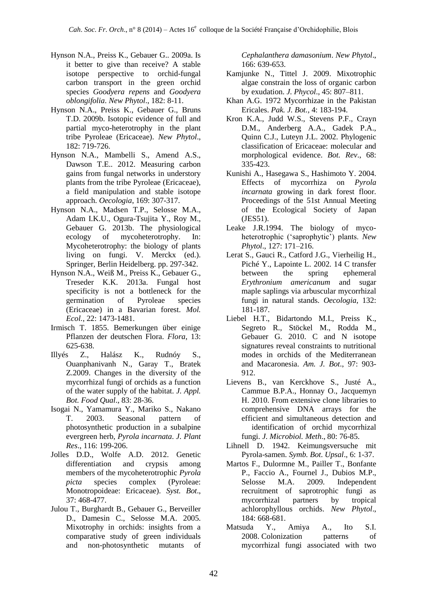- Hynson N.A., Preiss K., Gebauer G.. 2009a. Is it better to give than receive? A stable isotope perspective to orchid-fungal carbon transport in the green orchid species *Goodyera repens* and *Goodyera oblongifolia*. *New Phytol*., 182: 8-11.
- Hynson N.A., Preiss K., Gebauer G., Bruns T.D. 2009b. Isotopic evidence of full and partial myco-heterotrophy in the plant tribe Pyroleae (Ericaceae). *New Phytol*., 182: 719-726.
- Hynson N.A., Mambelli S., Amend A.S., Dawson T.E.. 2012. Measuring carbon gains from fungal networks in understory plants from the tribe Pyroleae (Ericaceae), a field manipulation and stable isotope approach. *Oecologia*, 169: 307-317.
- Hynson N.A., Madsen T.P., Selosse M.A., Adam I.K.U., Ogura-Tsujita Y., Roy M., Gebauer G. 2013b. The physiological ecology of mycoheterotrophy. In: Mycoheterotrophy: the biology of plants living on fungi. V. Merckx (ed.). Springer, Berlin Heidelberg. pp. 297-342.
- Hynson N.A., Weiß M., Preiss K., Gebauer G., Treseder K.K. 2013a. Fungal host specificity is not a bottleneck for the germination of Pyroleae species (Ericaceae) in a Bavarian forest. *Mol. Ecol.*, 22: 1473-1481.
- Irmisch T. 1855. Bemerkungen über einige Pflanzen der deutschen Flora. *Flora*, 13: 625-638.
- Illyés Z., Halász K., Rudnóy S., Ouanphanivanh N., Garay T., Bratek Z.2009. Changes in the diversity of the mycorrhizal fungi of orchids as a function of the water supply of the habitat. *J. Appl. Bot. Food Qual*., 83: 28-36.
- Isogai N., Yamamura Y., Mariko S., Nakano T. 2003. Seasonal pattern of photosynthetic production in a subalpine evergreen herb, *Pyrola incarnata*. *J. Plant Res*., 116: 199-206.
- Jolles D.D., Wolfe A.D. 2012. Genetic differentiation and crypsis among members of the mycoheterotrophic *Pyrola picta* species complex (Pyroleae: Monotropoideae: Ericaceae). *Syst. Bot*., 37: 468-477.
- Julou T., Burghardt B., Gebauer G., Berveiller D., Damesin C., Selosse M.A. 2005. Mixotrophy in orchids: insights from a comparative study of green individuals and non-photosynthetic mutants of

*Cephalanthera damasonium*. *New Phytol*., 166: 639-653.

- Kamjunke N., Tittel J. 2009. Mixotrophic algae constrain the loss of organic carbon by exudation. *J. Phycol*., 45: 807–811.
- Khan A.G. 1972 Mycorrhizae in the Pakistan Ericales. *Pak. J. Bot.,* 4: 183-194.
- Kron K.A., Judd W.S., Stevens P.F., Crayn D.M., Anderberg A.A., Gadek P.A., Quinn C.J., Luteyn J.L. 2002. Phylogenic classification of Ericaceae: molecular and morphological evidence. *Bot. Rev*., 68: 335-423.
- Kunishi A., Hasegawa S., Hashimoto Y. 2004. Effects of mycorrhiza on *Pyrola incarnata* growing in dark forest floor. Proceedings of the 51st Annual Meeting of the Ecological Society of Japan (JES51).
- Leake J.R.1994. The biology of mycoheterotrophic ('saprophytic') plants. *New Phytol*., 127: 171–216.
- Lerat S., Gauci R., Catford J.G., Vierheilig H., Piché Y., Lapointe L. 2002. 14 C transfer between the spring ephemeral *Erythronium americanum* and sugar maple saplings via arbuscular mycorrhizal fungi in natural stands. *Oecologia*, 132: 181-187.
- Liebel H.T., Bidartondo M.I., Preiss K., Segreto R., Stöckel M., Rodda M., Gebauer G. 2010. C and N isotope signatures reveal constraints to nutritional modes in orchids of the Mediterranean and Macaronesia. *Am. J. Bot*., 97: 903- 912.
- Lievens B., van Kerckhove S., Justé A., Cammue B.P.A., Honnay O., Jacquemyn H. 2010. From extensive clone libraries to comprehensive DNA arrays for the efficient and simultaneous detection and identification of orchid mycorrhizal fungi. *J. Microbiol. Meth*., 80: 76-85.
- Lihnell D. 1942. Keimungsversuche mit Pyrola-samen. *Symb. Bot. Upsal*., 6: 1-37.
- Martos F., Dulormne M., Pailler T., Bonfante P., Faccio A., Fournel J., Dubios M.P., Selosse M.A. 2009. Independent recruitment of saprotrophic fungi as mycorrhizal partners by tropical achlorophyllous orchids. *New Phytol*., 184: 668-681.
- Matsuda Y., Amiya A., Ito S.I. 2008. Colonization patterns of mycorrhizal fungi associated with two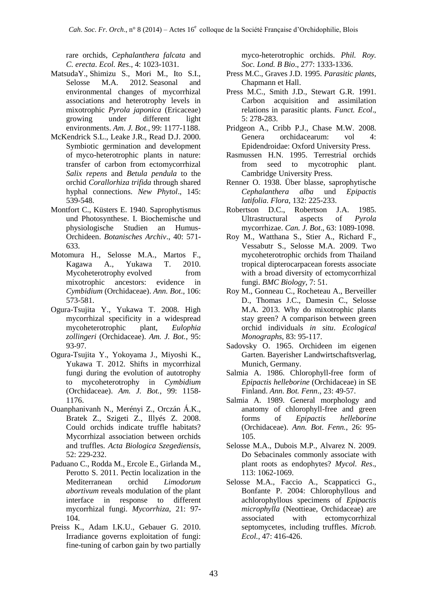rare orchids, *Cephalanthera falcata* and *C. erecta*. *Ecol. Res*., 4: 1023-1031.

- MatsudaY., Shimizu S., Mori M., Ito S.I., Selosse M.A. 2012. Seasonal and environmental changes of mycorrhizal associations and heterotrophy levels in mixotrophic *Pyrola japonica* (Ericaceae) growing under different light environments. *Am. J. Bot.*, 99: 1177-1188.
- McKendrick S.L., Leake J.R., Read D.J. 2000. Symbiotic germination and development of myco-heterotrophic plants in nature: transfer of carbon from ectomycorrhizal *Salix repens* and *Betula pendula* to the orchid *Corallorhiza trifida* through shared hyphal connections. *New Phytol*., 145: 539-548.
- Montfort C., Küsters E. 1940. Saprophytismus und Photosynthese. I. Biochemische und physiologische Studien an Humus-Orchideen. *Botanisches Archiv*., 40: 571- 633.
- Motomura H., Selosse M.A., Martos F., Kagawa A., Yukawa T. 2010. Mycoheterotrophy evolved from mixotrophic ancestors: evidence in *Cymbidium* (Orchidaceae). *Ann. Bot*., 106: 573-581.
- Ogura-Tsujita Y., Yukawa T. 2008. High mycorrhizal specificity in a widespread mycoheterotrophic plant, *Eulophia zollingeri* (Orchidaceae). *Am. J. Bot.*, 95: 93-97.
- Ogura-Tsujita Y., Yokoyama J., Miyoshi K., Yukawa T. 2012. Shifts in mycorrhizal fungi during the evolution of autotrophy to mycoheterotrophy in *Cymbidium* (Orchidaceae). *Am. J. Bot.*, 99: 1158- 1176.
- Ouanphanivanh N., Merényi Z., Orczán Á.K., Bratek Z., Szigeti Z., Illyés Z. 2008. Could orchids indicate truffle habitats? Mycorrhizal association between orchids and truffles. *Acta Biologica Szegediensis*, 52: 229-232.
- Paduano C., Rodda M., Ercole E., Girlanda M., Perotto S. 2011. Pectin localization in the Mediterranean orchid *Limodorum abortivum* reveals modulation of the plant interface in response to different mycorrhizal fungi. *Mycorrhiza*, 21: 97- 104.
- Preiss K., Adam I.K.U., Gebauer G. 2010. Irradiance governs exploitation of fungi: fine-tuning of carbon gain by two partially

myco-heterotrophic orchids. *Phil. Roy. Soc. Lond. B Bio*., 277: 1333-1336.

- Press M.C., Graves J.D. 1995. *Parasitic plants*, Chapmann et Hall.
- Press M.C., Smith J.D., Stewart G.R. 1991. Carbon acquisition and assimilation relations in parasitic plants. *Funct. Ecol*., 5: 278-283.
- Pridgeon A., Cribb P.J., Chase M.W. 2008. Genera orchidacearum: vol 4: Epidendroidae: Oxford University Press.
- Rasmussen H.N. 1995. Terrestrial orchids from seed to mycotrophic plant. Cambridge University Press.
- Renner O. 1938. Über blasse, saprophytische *Cephalanthera alba* und *Epipactis latifolia*. *Flora*, 132: 225-233.
- Robertson D.C., Robertson J.A. 1985. Ultrastructural aspects of *Pyrola* mycorrhizae. *Can. J. Bot*., 63: 1089-1098.
- Roy M., Watthana S., Stier A., Richard F., Vessabutr S., Selosse M.A. 2009. Two mycoheterotrophic orchids from Thailand tropical dipterocarpacean forests associate with a broad diversity of ectomycorrhizal fungi. *BMC Biology*, 7: 51.
- Roy M., Gonneau C., Rocheteau A., Berveiller D., Thomas J.C., Damesin C., Selosse M.A. 2013. Why do mixotrophic plants stay green? A comparison between green orchid individuals *in situ*. *Ecological Monographs*, 83: 95-117.
- Sadovsky O. 1965. Orchideen im eigenen Garten. Bayerisher Landwirtschaftsverlag, Munich, Germany.
- Salmia A. 1986. Chlorophyll-free form of *Epipactis helleborine* (Orchidaceae) in SE Finland. *Ann. Bot. Fenn*., 23: 49-57.
- Salmia A. 1989. General morphology and anatomy of chlorophyll-free and green forms of *Epipactis helleborine* (Orchidaceae). *Ann. Bot. Fenn.*, 26: 95- 105.
- Selosse M.A., Dubois M.P., Alvarez N. 2009. Do Sebacinales commonly associate with plant roots as endophytes? *Mycol. Res*., 113: 1062-1069.
- Selosse M.A., Faccio A., Scappaticci G., Bonfante P. 2004: Chlorophyllous and achlorophyllous specimens of *Epipactis microphylla* (Neottieae, Orchidaceae) are associated with ectomycorrhizal septomycetes, including truffles. *Microb. Ecol.*, 47: 416-426.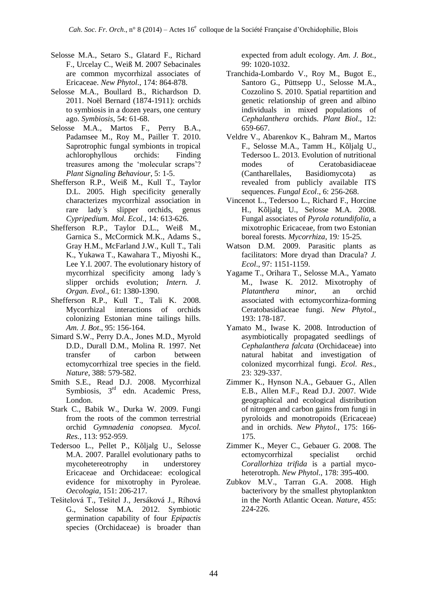- Selosse M.A., Setaro S., Glatard F., Richard F., Urcelay C., Weiß M. 2007 Sebacinales are common mycorrhizal associates of Ericaceae. *New Phytol.*, 174: 864-878.
- Selosse M.A., Boullard B., Richardson D. 2011. Noël Bernard (1874-1911): orchids to symbiosis in a dozen years, one century ago. *Symbiosis*, 54: 61-68.
- Selosse M.A., Martos F., Perry B.A., Padamsee M., Roy M., Pailler T. 2010. Saprotrophic fungal symbionts in tropical achlorophyllous orchids: Finding treasures among the 'molecular scraps'? *Plant Signaling Behaviour*, 5: 1-5.
- Shefferson R.P., Weiß M., Kull T., Taylor D.L. 2005. High specificity generally characterizes mycorrhizal association in rare lady*'*s slipper orchids, genus *Cypripedium. Mol. Ecol.*, 14: 613-626.
- Shefferson R.P., Taylor D.L., Weiß M., Garnica S., McCormick M.K., Adams S., Gray H.M., McFarland J.W., Kull T., Tali K., Yukawa T., Kawahara T., Miyoshi K., Lee Y.I. 2007. The evolutionary history of mycorrhizal specificity among lady*'*s slipper orchids evolution; *Intern. J. Organ. Evol.*, 61: 1380-1390.
- Shefferson R.P., Kull T., Tali K. 2008. Mycorrhizal interactions of orchids colonizing Estonian mine tailings hills. *Am. J. Bot*., 95: 156-164.
- Simard S.W., Perry D.A., Jones M.D., Myrold D.D., Durall D.M., Molina R. 1997. Net transfer of carbon between ectomycorrhizal tree species in the field. *Nature*, 388: 579-582.
- Smith S.E., Read D.J. 2008. Mycorrhizal Symbiosis, 3<sup>rd</sup> edn. Academic Press, London.
- Stark C., Babik W., Durka W. 2009. Fungi from the roots of the common terrestrial orchid *Gymnadenia conopsea. Mycol. Res.*, 113: 952-959.
- Tedersoo L., Pellet P., Kõljalg U., Selosse M.A. 2007. Parallel evolutionary paths to mycohetereotrophy in understorey Ericaceae and Orchidaceae: ecological evidence for mixotrophy in Pyroleae. *Oecologia*, 151: 206-217.
- Tešitelová T., Tešitel J., Jersáková J., Ríhová G., Selosse M.A. 2012. Symbiotic germination capability of four *Epipactis*  species (Orchidaceae) is broader than

expected from adult ecology. *Am. J. Bot.*, 99: 1020-1032.

- Tranchida-Lombardo V., Roy M., Bugot E., Santoro G., Püttsepp U., Selosse M.A., Cozzolino S. 2010. Spatial repartition and genetic relationship of green and albino individuals in mixed populations of *Cephalanthera* orchids. *Plant Biol*., 12: 659-667.
- Veldre V., Abarenkov K., Bahram M., Martos F., Selosse M.A., Tamm H., Kõljalg U., Tedersoo L. 2013. Evolution of nutritional modes of Ceratobasidiaceae (Cantharellales, Basidiomycota) as revealed from publicly available ITS sequences. *Fungal Ecol*., 6: 256-268.
- Vincenot L.*,* Tedersoo L.*,* Richard F.*,* Horcine H.*,* Kõljalg U.*,* Selosse M.A. 2008*.*  Fungal associates of *Pyrola rotundifolia*, a mixotrophic Ericaceae, from two Estonian boreal forests*. Mycorrhiza*, 19*:* 15-25*.*
- Watson D.M. 2009. Parasitic plants as facilitators: More dryad than Dracula? *J. Ecol*., 97: 1151-1159.
- Yagame T., Orihara T., Selosse M.A., Yamato M., Iwase K. 2012. Mixotrophy of *Platanthera minor*, an orchid associated with ectomycorrhiza-forming Ceratobasidiaceae fungi. *New Phytol.*, 193: 178-187.
- Yamato M., Iwase K. 2008. Introduction of asymbiotically propagated seedlings of *Cephalanthera falcata* (Orchidaceae) into natural habitat and investigation of colonized mycorrhizal fungi. *Ecol. Res.*, 23: 329-337.
- Zimmer K., Hynson N.A., Gebauer G., Allen E.B., Allen M.F., Read D.J. 2007. Wide geographical and ecological distribution of nitrogen and carbon gains from fungi in pyroloids and monotropoids (Ericaceae) and in orchids. *New Phytol.*, 175: 166- 175.
- Zimmer K., Meyer C., Gebauer G. 2008. The ectomycorrhizal specialist orchid *Corallorhiza trifida* is a partial mycoheterotroph. *New Phytol.*, 178: 395-400.
- Zubkov M.V., Tarran G.A. 2008. High bacterivory by the smallest phytoplankton in the North Atlantic Ocean. *Nature*, 455: 224-226.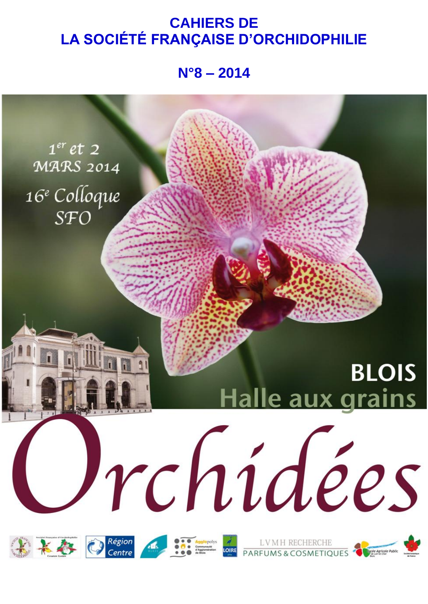# **CAHIERS DE LA SOCIÉTÉ FRANÇAISE D'ORCHIDOPHILIE**

**N°8 – 2014**

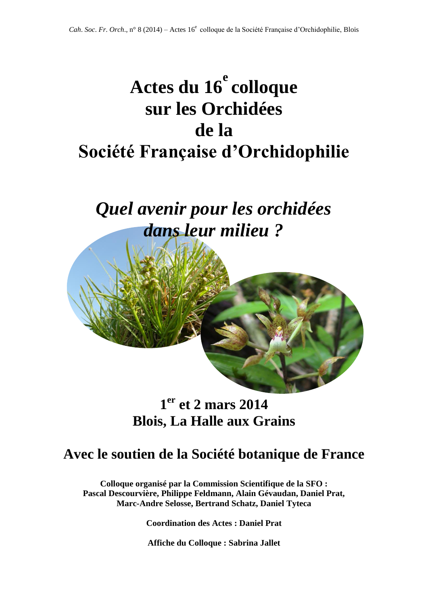# **Actes du 16 e colloque sur les Orchidées de la Société Française d'Orchidophilie**

# *Quel avenir pour les orchidées dans leur milieu ?*



# **1 er et 2 mars 2014 Blois, La Halle aux Grains**

# **Avec le soutien de la Société botanique de France**

**Colloque organisé par la Commission Scientifique de la SFO : Pascal Descourvière, Philippe Feldmann, Alain Gévaudan, Daniel Prat, Marc-Andre Selosse, Bertrand Schatz, Daniel Tyteca**

**Coordination des Actes : Daniel Prat** 

**Affiche du Colloque : Sabrina Jallet**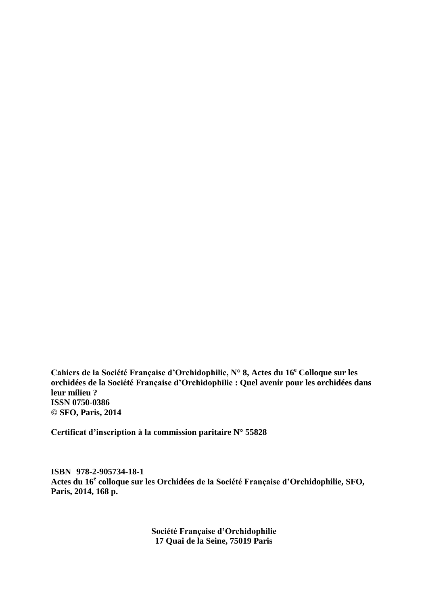**Cahiers de la Société Française d'Orchidophilie, N° 8, Actes du 16 <sup>e</sup> Colloque sur les orchidées de la Société Française d'Orchidophilie : Quel avenir pour les orchidées dans leur milieu ? ISSN 0750-0386 © SFO, Paris, 2014**

**Certificat d'inscription à la commission paritaire N° 55828**

**ISBN 978-2-905734-18-1 Actes du 16<sup>e</sup> colloque sur les Orchidées de la Société Française d'Orchidophilie, SFO, Paris, 2014, 168 p.**

> **Société Française d'Orchidophilie 17 Quai de la Seine, 75019 Paris**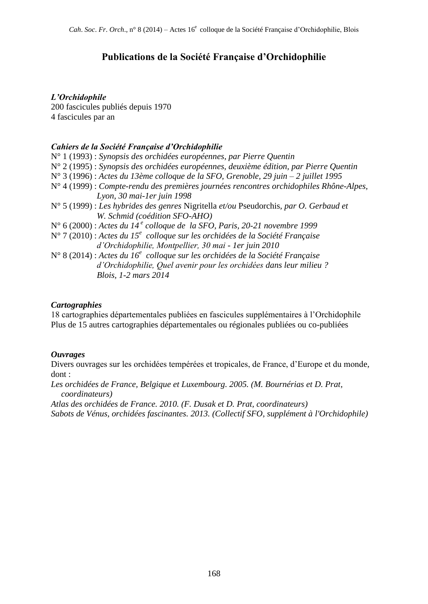# **Publications de la Société Française d'Orchidophilie**

# *L'Orchidophile*

200 fascicules publiés depuis 1970 4 fascicules par an

# *Cahiers de la Société Française d'Orchidophilie*

*Blois, 1-2 mars 2014*

N° 1 (1993) : *Synopsis des orchidées européennes, par Pierre Quentin* N° 2 (1995) : *Synopsis des orchidées européennes, deuxième édition, par Pierre Quentin* N° 3 (1996) : *Actes du 13ème colloque de la SFO, Grenoble, 29 juin – 2 juillet 1995* N° 4 (1999) : *Compte-rendu des premières journées rencontres orchidophiles Rhône-Alpes, Lyon, 30 mai-1er juin 1998* N° 5 (1999) : *Les hybrides des genres* Nigritella *et/ou* Pseudorchis*, par O. Gerbaud et W. Schmid (coédition SFO-AHO)* N° 6 (2000) : *Actes du 14 <sup>e</sup> colloque de la SFO, Paris, 20-21 novembre 1999* N° 7 (2010) : *Actes du 15<sup>e</sup> colloque sur les orchidées de la Société Française d'Orchidophilie, Montpellier, 30 mai - 1er juin 2010* N° 8 (2014) : *Actes du 16<sup>e</sup> colloque sur les orchidées de la Société Française d'Orchidophilie, Quel avenir pour les orchidées dans leur milieu ?*

# *Cartographies*

18 cartographies départementales publiées en fascicules supplémentaires à l'Orchidophile Plus de 15 autres cartographies départementales ou régionales publiées ou co-publiées

# *Ouvrages*

Divers ouvrages sur les orchidées tempérées et tropicales, de France, d'Europe et du monde, dont :

*Les orchidées de France, Belgique et Luxembourg. 2005. (M. Bournérias et D. Prat, coordinateurs)*

*Atlas des orchidées de France. 2010. (F. Dusak et D. Prat, coordinateurs) Sabots de Vénus, orchidées fascinantes. 2013. (Collectif SFO, supplément à l'Orchidophile)*